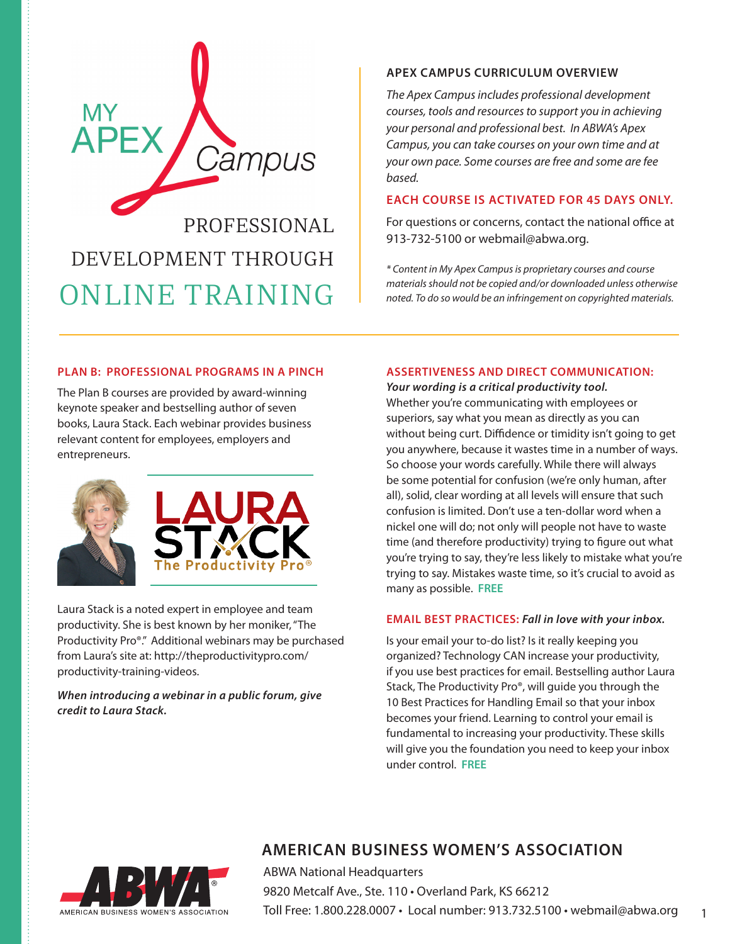

# DEVELOPMENT THROUGH ONLINE TRAINING

# **APEX CAMPUS CURRICULUM OVERVIEW**

*The Apex Campus includes professional development courses, tools and resources to support you in achieving your personal and professional best. In ABWA's Apex Campus, you can take courses on your own time and at your own pace. Some courses are free and some are fee based.* 

# **EACH COURSE IS ACTIVATED FOR 45 DAYS ONLY.**

For questions or concerns, contact the national office at 913-732-5100 or webmail@abwa.org.

*\* Content in My Apex Campus is proprietary courses and course materials should not be copied and/or downloaded unless otherwise noted. To do so would be an infringement on copyrighted materials.* 

# **PLAN B: PROFESSIONAL PROGRAMS IN A PINCH**

The Plan B courses are provided by award-winning keynote speaker and bestselling author of seven books, Laura Stack. Each webinar provides business relevant content for employees, employers and entrepreneurs.



Laura Stack is a noted expert in employee and team productivity. She is best known by her moniker, "The Productivity Pro®." Additional webinars may be purchased from Laura's site at: http://theproductivitypro.com/ productivity-training-videos.

*When introducing a webinar in a public forum, give credit to Laura Stack.*

# **ASSERTIVENESS AND DIRECT COMMUNICATION:**

j.

*Your wording is a critical productivity tool.*  Whether you're communicating with employees or superiors, say what you mean as directly as you can without being curt. Diffidence or timidity isn't going to get you anywhere, because it wastes time in a number of ways. So choose your words carefully. While there will always be some potential for confusion (we're only human, after all), solid, clear wording at all levels will ensure that such confusion is limited. Don't use a ten-dollar word when a nickel one will do; not only will people not have to waste time (and therefore productivity) trying to figure out what you're trying to say, they're less likely to mistake what you're trying to say. Mistakes waste time, so it's crucial to avoid as many as possible. **FREE**

#### **EMAIL BEST PRACTICES:** *Fall in love with your inbox.*

Is your email your to-do list? Is it really keeping you organized? Technology CAN increase your productivity, if you use best practices for email. Bestselling author Laura Stack, The Productivity Pro®, will guide you through the 10 Best Practices for Handling Email so that your inbox becomes your friend. Learning to control your email is fundamental to increasing your productivity. These skills will give you the foundation you need to keep your inbox under control. **FREE**

1



# **AMERICAN BUSINESS WOMEN'S ASSOCIATION**

ABWA National Headquarters 9820 Metcalf Ave., Ste. 110 · Overland Park, KS 66212 Toll Free: 1.800.228.0007 • Local number: 913.732.5100 • webmail@abwa.org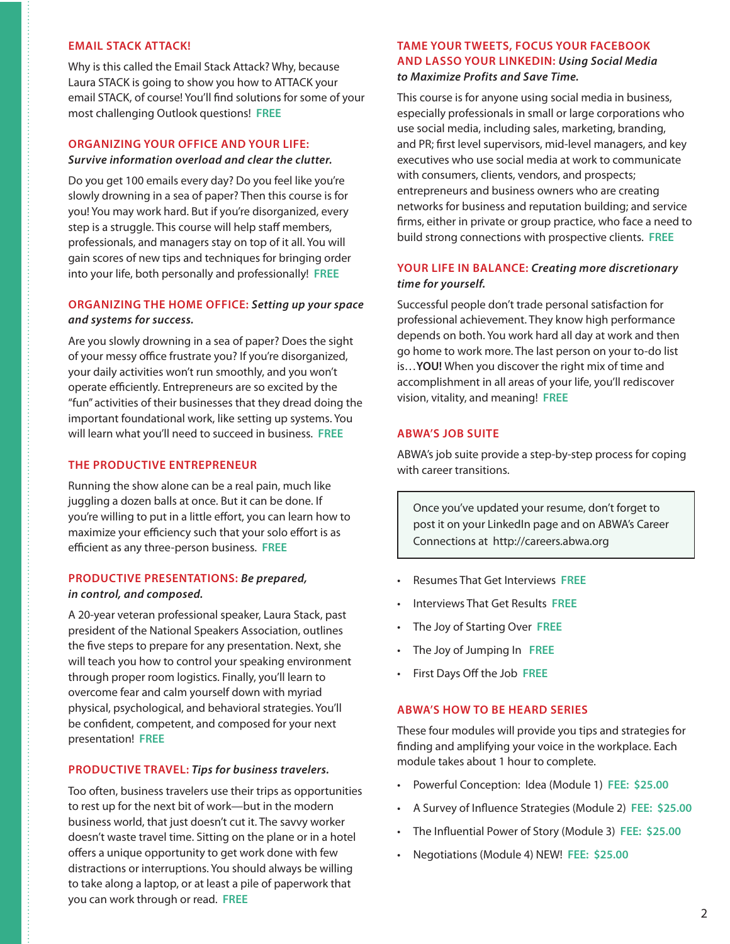# **EMAIL STACK ATTACK!**

Why is this called the Email Stack Attack? Why, because Laura STACK is going to show you how to ATTACK your email STACK, of course! You'll find solutions for some of your most challenging Outlook questions! **FREE**

# **ORGANIZING YOUR OFFICE AND YOUR LIFE:**  *Survive information overload and clear the clutter.*

Do you get 100 emails every day? Do you feel like you're slowly drowning in a sea of paper? Then this course is for you! You may work hard. But if you're disorganized, every step is a struggle. This course will help staff members, professionals, and managers stay on top of it all. You will gain scores of new tips and techniques for bringing order into your life, both personally and professionally! **FREE**

# **ORGANIZING THE HOME OFFICE:** *Setting up your space and systems for success.*

Are you slowly drowning in a sea of paper? Does the sight of your messy office frustrate you? If you're disorganized, your daily activities won't run smoothly, and you won't operate efficiently. Entrepreneurs are so excited by the "fun" activities of their businesses that they dread doing the important foundational work, like setting up systems. You will learn what you'll need to succeed in business. **FREE**

# **THE PRODUCTIVE ENTREPRENEUR**

Running the show alone can be a real pain, much like juggling a dozen balls at once. But it can be done. If you're willing to put in a little effort, you can learn how to maximize your efficiency such that your solo effort is as efficient as any three-person business. **FREE**

# **PRODUCTIVE PRESENTATIONS:** *Be prepared, in control, and composed.*

A 20-year veteran professional speaker, Laura Stack, past president of the National Speakers Association, outlines the five steps to prepare for any presentation. Next, she will teach you how to control your speaking environment through proper room logistics. Finally, you'll learn to overcome fear and calm yourself down with myriad physical, psychological, and behavioral strategies. You'll be confident, competent, and composed for your next presentation! **FREE**

# **PRODUCTIVE TRAVEL:** *Tips for business travelers.*

Too often, business travelers use their trips as opportunities to rest up for the next bit of work—but in the modern business world, that just doesn't cut it. The savvy worker doesn't waste travel time. Sitting on the plane or in a hotel offers a unique opportunity to get work done with few distractions or interruptions. You should always be willing to take along a laptop, or at least a pile of paperwork that you can work through or read. **FREE**

# **TAME YOUR TWEETS, FOCUS YOUR FACEBOOK AND LASSO YOUR LINKEDIN:** *Using Social Media to Maximize Profits and Save Time.*

This course is for anyone using social media in business, especially professionals in small or large corporations who use social media, including sales, marketing, branding, and PR; first level supervisors, mid-level managers, and key executives who use social media at work to communicate with consumers, clients, vendors, and prospects; entrepreneurs and business owners who are creating networks for business and reputation building; and service firms, either in private or group practice, who face a need to build strong connections with prospective clients. **FREE**

# **YOUR LIFE IN BALANCE:** *Creating more discretionary time for yourself.*

Successful people don't trade personal satisfaction for professional achievement. They know high performance depends on both. You work hard all day at work and then go home to work more. The last person on your to-do list is…**YOU!** When you discover the right mix of time and accomplishment in all areas of your life, you'll rediscover vision, vitality, and meaning! **FREE**

#### **ABWA'S JOB SUITE**

ABWA's job suite provide a step-by-step process for coping with career transitions.

Once you've updated your resume, don't forget to post it on your LinkedIn page and on ABWA's Career Connections at http://careers.abwa.org

- Resumes That Get Interviews **FREE**
- Interviews That Get Results **FREE**
- The Joy of Starting Over **FREE**
- The Joy of Jumping In **FREE**
- First Days Off the Job **FREE**

#### **ABWA'S HOW TO BE HEARD SERIES**

These four modules will provide you tips and strategies for finding and amplifying your voice in the workplace. Each module takes about 1 hour to complete.

- Powerful Conception: Idea (Module 1) **FEE: \$25.00**
- A Survey of Influence Strategies (Module 2) **FEE: \$25.00**
- The Influential Power of Story (Module 3) **FEE: \$25.00**
- Negotiations (Module 4) NEW! **FEE: \$25.00**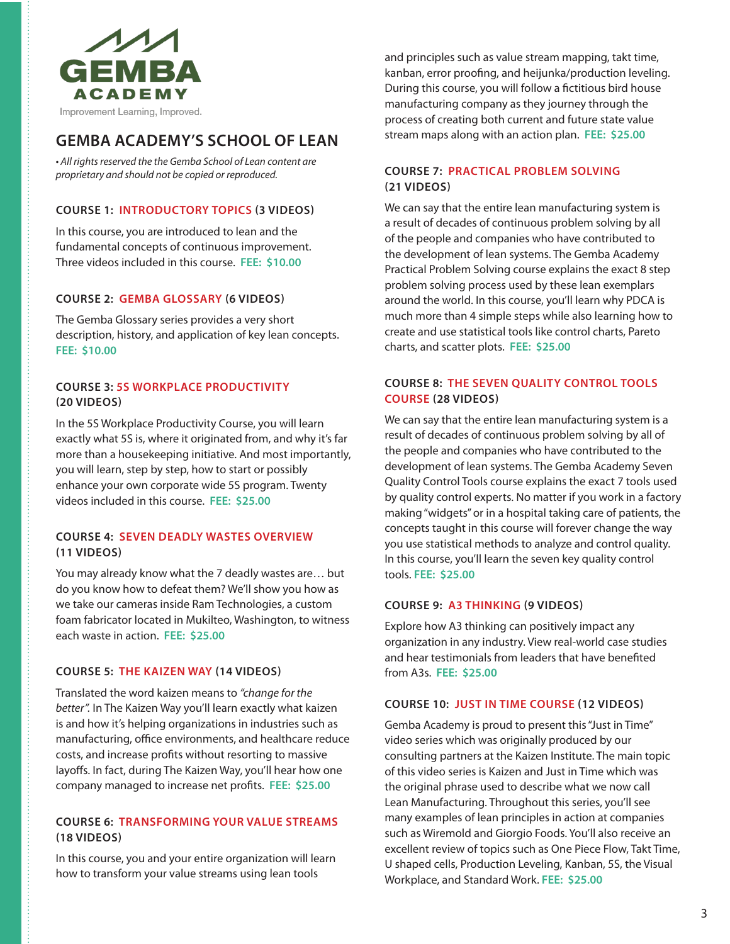

# **GEMBA ACADEMY'S SCHOOL OF LEAN**

• All rights reserved the the Gemba School of Lean content are *proprietary and should not be copied or reproduced.*

# **COURSE 1: INTRODUCTORY TOPICS (3 VIDEOS)**

In this course, you are introduced to lean and the fundamental concepts of continuous improvement. Three videos included in this course. **FEE: \$10.00**

#### **COURSE 2: GEMBA GLOSSARY (6 VIDEOS)**

The Gemba Glossary series provides a very short description, history, and application of key lean concepts. **FEE: \$10.00**

# **COURSE 3: 5S WORKPLACE PRODUCTIVITY (20 VIDEOS)**

In the 5S Workplace Productivity Course, you will learn exactly what 5S is, where it originated from, and why it's far more than a housekeeping initiative. And most importantly, you will learn, step by step, how to start or possibly enhance your own corporate wide 5S program. Twenty videos included in this course. **FEE: \$25.00**

# **COURSE 4: SEVEN DEADLY WASTES OVERVIEW (11 VIDEOS)**

You may already know what the 7 deadly wastes are… but do you know how to defeat them? We'll show you how as we take our cameras inside Ram Technologies, a custom foam fabricator located in Mukilteo, Washington, to witness each waste in action. **FEE: \$25.00**

#### **COURSE 5: THE KAIZEN WAY (14 VIDEOS)**

Translated the word kaizen means to *"change for the better".* In The Kaizen Way you'll learn exactly what kaizen is and how it's helping organizations in industries such as manufacturing, office environments, and healthcare reduce costs, and increase profits without resorting to massive layoffs. In fact, during The Kaizen Way, you'll hear how one company managed to increase net profits. **FEE: \$25.00**

# **COURSE 6: TRANSFORMING YOUR VALUE STREAMS (18 VIDEOS)**

In this course, you and your entire organization will learn how to transform your value streams using lean tools

and principles such as value stream mapping, takt time, kanban, error proofing, and heijunka/production leveling. During this course, you will follow a fictitious bird house manufacturing company as they journey through the process of creating both current and future state value stream maps along with an action plan. **FEE: \$25.00**

# **COURSE 7: PRACTICAL PROBLEM SOLVING (21 VIDEOS)**

We can say that the entire lean manufacturing system is a result of decades of continuous problem solving by all of the people and companies who have contributed to the development of lean systems. The Gemba Academy Practical Problem Solving course explains the exact 8 step problem solving process used by these lean exemplars around the world. In this course, you'll learn why PDCA is much more than 4 simple steps while also learning how to create and use statistical tools like control charts, Pareto charts, and scatter plots. **FEE: \$25.00**

# **COURSE 8: THE SEVEN QUALITY CONTROL TOOLS COURSE (28 VIDEOS)**

We can say that the entire lean manufacturing system is a result of decades of continuous problem solving by all of the people and companies who have contributed to the development of lean systems. The Gemba Academy Seven Quality Control Tools course explains the exact 7 tools used by quality control experts. No matter if you work in a factory making "widgets" or in a hospital taking care of patients, the concepts taught in this course will forever change the way you use statistical methods to analyze and control quality. In this course, you'll learn the seven key quality control tools. **FEE: \$25.00**

#### **COURSE 9: A3 THINKING (9 VIDEOS)**

Explore how A3 thinking can positively impact any organization in any industry. View real-world case studies and hear testimonials from leaders that have benefited from A3s. **FEE: \$25.00**

#### **COURSE 10: JUST IN TIME COURSE (12 VIDEOS)**

Gemba Academy is proud to present this "Just in Time" video series which was originally produced by our consulting partners at the Kaizen Institute. The main topic of this video series is Kaizen and Just in Time which was the original phrase used to describe what we now call Lean Manufacturing. Throughout this series, you'll see many examples of lean principles in action at companies such as Wiremold and Giorgio Foods. You'll also receive an excellent review of topics such as One Piece Flow, Takt Time, U shaped cells, Production Leveling, Kanban, 5S, the Visual Workplace, and Standard Work. **FEE: \$25.00**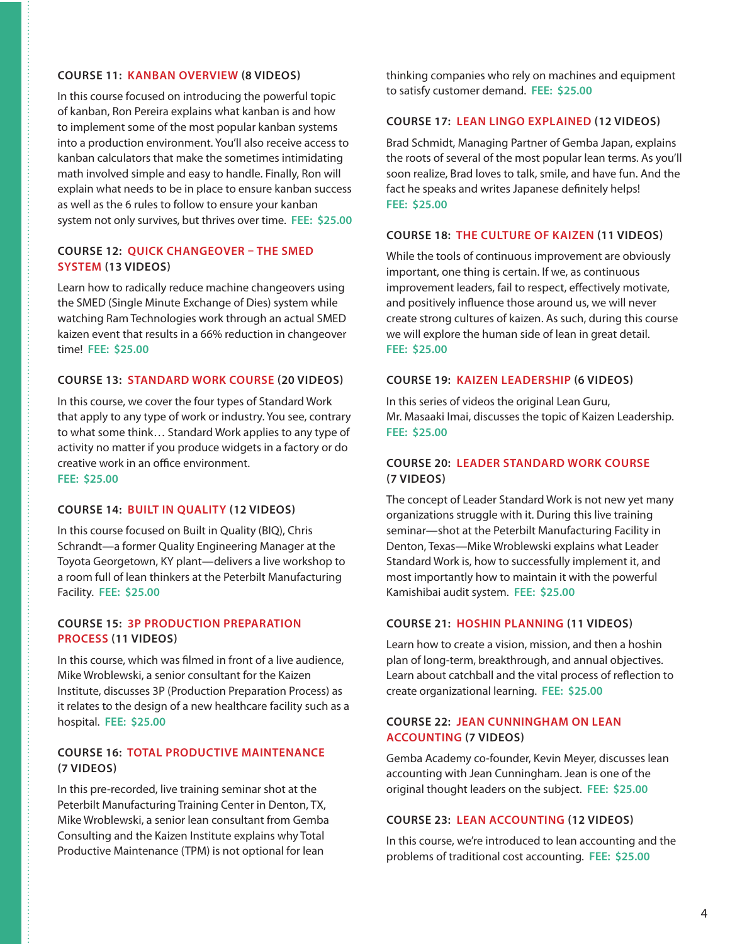#### **COURSE 11: KANBAN OVERVIEW (8 VIDEOS)**

In this course focused on introducing the powerful topic of kanban, Ron Pereira explains what kanban is and how to implement some of the most popular kanban systems into a production environment. You'll also receive access to kanban calculators that make the sometimes intimidating math involved simple and easy to handle. Finally, Ron will explain what needs to be in place to ensure kanban success as well as the 6 rules to follow to ensure your kanban system not only survives, but thrives over time. **FEE: \$25.00**

# **COURSE 12: QUICK CHANGEOVER – THE SMED SYSTEM (13 VIDEOS)**

Learn how to radically reduce machine changeovers using the SMED (Single Minute Exchange of Dies) system while watching Ram Technologies work through an actual SMED kaizen event that results in a 66% reduction in changeover time! **FEE: \$25.00**

#### **COURSE 13: STANDARD WORK COURSE (20 VIDEOS)**

In this course, we cover the four types of Standard Work that apply to any type of work or industry. You see, contrary to what some think… Standard Work applies to any type of activity no matter if you produce widgets in a factory or do creative work in an office environment. **FEE: \$25.00**

#### **COURSE 14: BUILT IN QUALITY (12 VIDEOS)**

In this course focused on Built in Quality (BIQ), Chris Schrandt—a former Quality Engineering Manager at the Toyota Georgetown, KY plant—delivers a live workshop to a room full of lean thinkers at the Peterbilt Manufacturing Facility. **FEE: \$25.00**

# **COURSE 15: 3P PRODUCTION PREPARATION PROCESS (11 VIDEOS)**

In this course, which was filmed in front of a live audience, Mike Wroblewski, a senior consultant for the Kaizen Institute, discusses 3P (Production Preparation Process) as it relates to the design of a new healthcare facility such as a hospital. **FEE: \$25.00**

# **COURSE 16: TOTAL PRODUCTIVE MAINTENANCE (7 VIDEOS)**

In this pre-recorded, live training seminar shot at the Peterbilt Manufacturing Training Center in Denton, TX, Mike Wroblewski, a senior lean consultant from Gemba Consulting and the Kaizen Institute explains why Total Productive Maintenance (TPM) is not optional for lean

thinking companies who rely on machines and equipment to satisfy customer demand. **FEE: \$25.00**

#### **COURSE 17: LEAN LINGO EXPLAINED (12 VIDEOS)**

Brad Schmidt, Managing Partner of Gemba Japan, explains the roots of several of the most popular lean terms. As you'll soon realize, Brad loves to talk, smile, and have fun. And the fact he speaks and writes Japanese definitely helps! **FEE: \$25.00**

#### **COURSE 18: THE CULTURE OF KAIZEN (11 VIDEOS)**

While the tools of continuous improvement are obviously important, one thing is certain. If we, as continuous improvement leaders, fail to respect, effectively motivate, and positively influence those around us, we will never create strong cultures of kaizen. As such, during this course we will explore the human side of lean in great detail. **FEE: \$25.00**

#### **COURSE 19: KAIZEN LEADERSHIP (6 VIDEOS)**

In this series of videos the original Lean Guru, Mr. Masaaki Imai, discusses the topic of Kaizen Leadership. **FEE: \$25.00**

#### **COURSE 20: LEADER STANDARD WORK COURSE (7 VIDEOS)**

The concept of Leader Standard Work is not new yet many organizations struggle with it. During this live training seminar—shot at the Peterbilt Manufacturing Facility in Denton, Texas—Mike Wroblewski explains what Leader Standard Work is, how to successfully implement it, and most importantly how to maintain it with the powerful Kamishibai audit system. **FEE: \$25.00**

# **COURSE 21: HOSHIN PLANNING (11 VIDEOS)**

Learn how to create a vision, mission, and then a hoshin plan of long-term, breakthrough, and annual objectives. Learn about catchball and the vital process of reflection to create organizational learning. **FEE: \$25.00**

# **COURSE 22: JEAN CUNNINGHAM ON LEAN ACCOUNTING (7 VIDEOS)**

Gemba Academy co-founder, Kevin Meyer, discusses lean accounting with Jean Cunningham. Jean is one of the original thought leaders on the subject. **FEE: \$25.00**

# **COURSE 23: LEAN ACCOUNTING (12 VIDEOS)**

In this course, we're introduced to lean accounting and the problems of traditional cost accounting. **FEE: \$25.00**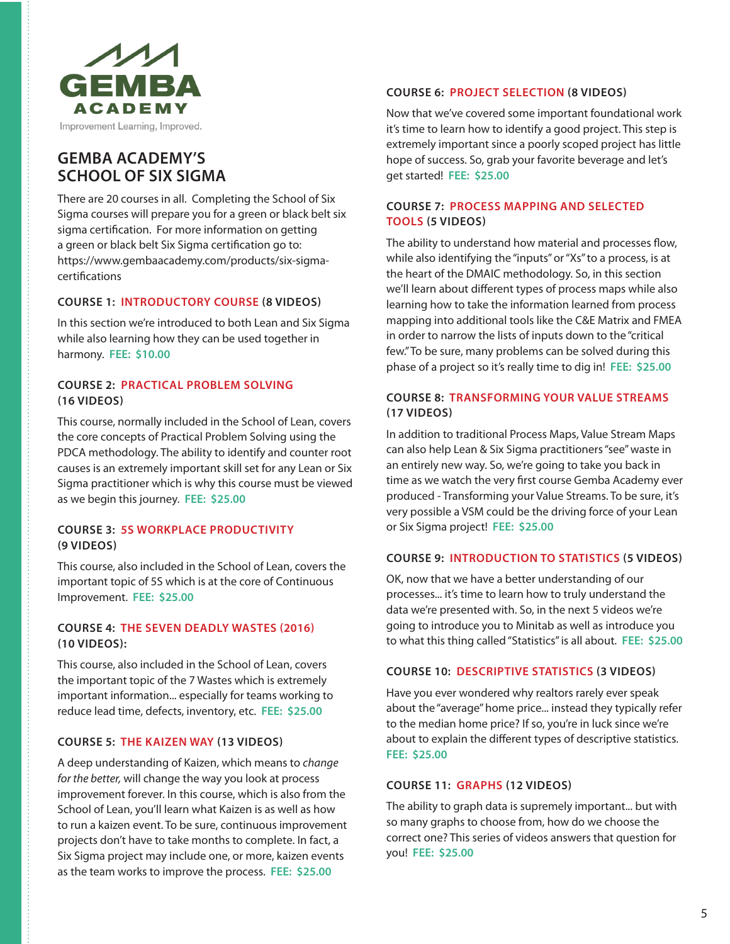

# **GEMBA ACADEMY'S SCHOOL OF SIX SIGMA**

There are 20 courses in all. Completing the School of Six Sigma courses will prepare you for a green or black belt six sigma certification. For more information on getting a green or black belt Six Sigma certification go to: https://www.gembaacademy.com/products/six-sigmacertifications

# **COURSE 1: INTRODUCTORY COURSE (8 VIDEOS)**

In this section we're introduced to both Lean and Six Sigma while also learning how they can be used together in harmony. **FEE: \$10.00**

# **COURSE 2: PRACTICAL PROBLEM SOLVING (16 VIDEOS)**

This course, normally included in the School of Lean, covers the core concepts of Practical Problem Solving using the PDCA methodology. The ability to identify and counter root causes is an extremely important skill set for any Lean or Six Sigma practitioner which is why this course must be viewed as we begin this journey. **FEE: \$25.00**

# **COURSE 3: 5S WORKPLACE PRODUCTIVITY (9 VIDEOS)**

This course, also included in the School of Lean, covers the important topic of 5S which is at the core of Continuous Improvement. **FEE: \$25.00**

# **COURSE 4: THE SEVEN DEADLY WASTES (2016) (10 VIDEOS):**

This course, also included in the School of Lean, covers the important topic of the 7 Wastes which is extremely important information... especially for teams working to reduce lead time, defects, inventory, etc. **FEE: \$25.00**

#### **COURSE 5: THE KAIZEN WAY (13 VIDEOS)**

A deep understanding of Kaizen, which means to *change for the better,* will change the way you look at process improvement forever. In this course, which is also from the School of Lean, you'll learn what Kaizen is as well as how to run a kaizen event. To be sure, continuous improvement projects don't have to take months to complete. In fact, a Six Sigma project may include one, or more, kaizen events as the team works to improve the process. **FEE: \$25.00**

# **COURSE 6: PROJECT SELECTION (8 VIDEOS)**

Now that we've covered some important foundational work it's time to learn how to identify a good project. This step is extremely important since a poorly scoped project has little hope of success. So, grab your favorite beverage and let's get started! **FEE: \$25.00**

# **COURSE 7: PROCESS MAPPING AND SELECTED TOOLS (5 VIDEOS)**

The ability to understand how material and processes flow, while also identifying the "inputs" or "Xs" to a process, is at the heart of the DMAIC methodology. So, in this section we'll learn about different types of process maps while also learning how to take the information learned from process mapping into additional tools like the C&E Matrix and FMEA in order to narrow the lists of inputs down to the "critical few." To be sure, many problems can be solved during this phase of a project so it's really time to dig in! **FEE: \$25.00**

# **COURSE 8: TRANSFORMING YOUR VALUE STREAMS (17 VIDEOS)**

In addition to traditional Process Maps, Value Stream Maps can also help Lean & Six Sigma practitioners "see" waste in an entirely new way. So, we're going to take you back in time as we watch the very first course Gemba Academy ever produced - Transforming your Value Streams. To be sure, it's very possible a VSM could be the driving force of your Lean or Six Sigma project! **FEE: \$25.00**

# **COURSE 9: INTRODUCTION TO STATISTICS (5 VIDEOS)**

OK, now that we have a better understanding of our processes... it's time to learn how to truly understand the data we're presented with. So, in the next 5 videos we're going to introduce you to Minitab as well as introduce you to what this thing called "Statistics" is all about. **FEE: \$25.00**

#### **COURSE 10: DESCRIPTIVE STATISTICS (3 VIDEOS)**

Have you ever wondered why realtors rarely ever speak about the "average" home price... instead they typically refer to the median home price? If so, you're in luck since we're about to explain the different types of descriptive statistics. **FEE: \$25.00**

#### **COURSE 11: GRAPHS (12 VIDEOS)**

The ability to graph data is supremely important... but with so many graphs to choose from, how do we choose the correct one? This series of videos answers that question for you! **FEE: \$25.00**